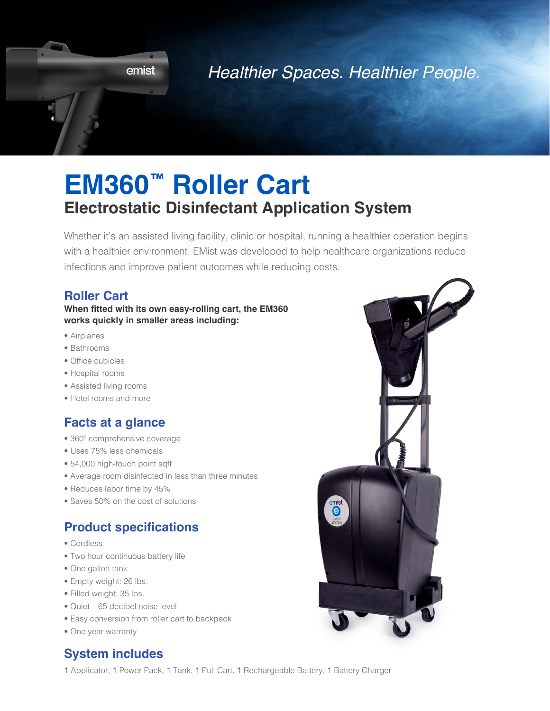

## *Healthier Spaces. Healthier People.*

# **EM360™ Roller Cart Electrostatic Disinfectant Application System**

Whether it's an assisted living facility, clinic or hospital, running a healthier operation begins with a healthier environment. EMist was developed to help healthcare organizations reduce infections and improve patient outcomes while reducing costs.

#### **Roller Cart**

#### **When fitted with its own easy-rolling cart, the EM360 works quickly in smaller areas including:**

- Airplanes
- Bathrooms
- Office cubicles
- Hospital rooms
- Assisted living rooms
- Hotel rooms and more

#### **Facts at a glance**

- 360º comprehensive coverage
- Uses 75% less chemicals
- 54,000 high-touch point sqft
- Average room disinfected in less than three minutes
- Reduces labor time by 45%
- Saves 50% on the cost of solutions

#### **Product specifications**

- Cordless
- Two hour continuous battery life
- One gallon tank
- Empty weight: 26 lbs.
- Filled weight: 35 lbs.
- Quiet 65 decibel noise level
- Easy conversion from roller cart to backpack
- One year warranty

### **System includes**

1 Applicator, 1 Power Pack, 1 Tank, 1 Pull Cart, 1 Rechargeable Battery, 1 Battery Charger